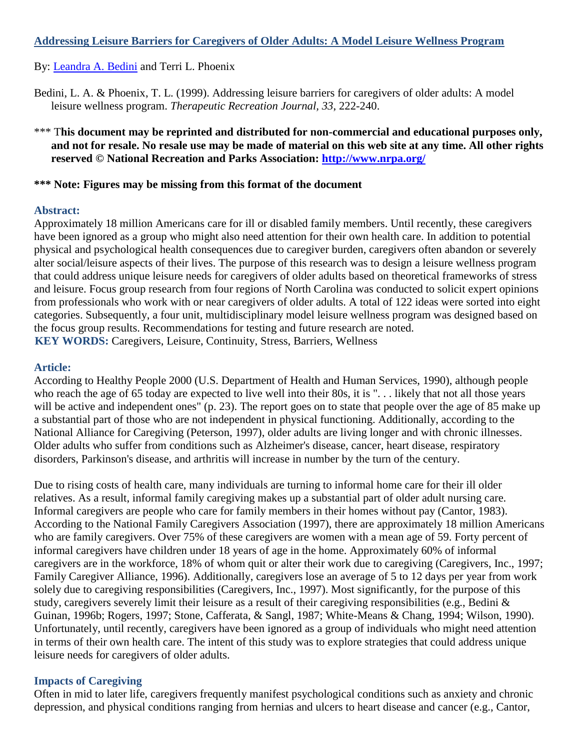### **Addressing Leisure Barriers for Caregivers of Older Adults: A Model Leisure Wellness Program**

### By: [Leandra A. Bedini](http://libres.uncg.edu/ir/uncg/clist.aspx?id=1592) and Terri L. Phoenix

- Bedini, L. A. & Phoenix, T. L. (1999). Addressing leisure barriers for caregivers of older adults: A model leisure wellness program. *Therapeutic Recreation Journal, 33*, 222-240.
- \*\*\* This document may be reprinted and distributed for non-commercial and educational purposes only, **and not for resale. No resale use may be made of material on this web site at any time. All other rights reserved © National Recreation and Parks Association:<http://www.nrpa.org/>**

### **\*\*\* Note: Figures may be missing from this format of the document**

#### **Abstract:**

Approximately 18 million Americans care for ill or disabled family members. Until recently, these caregivers have been ignored as a group who might also need attention for their own health care. In addition to potential physical and psychological health consequences due to caregiver burden, caregivers often abandon or severely alter social/leisure aspects of their lives. The purpose of this research was to design a leisure wellness program that could address unique leisure needs for caregivers of older adults based on theoretical frameworks of stress and leisure. Focus group research from four regions of North Carolina was conducted to solicit expert opinions from professionals who work with or near caregivers of older adults. A total of 122 ideas were sorted into eight categories. Subsequently, a four unit, multidisciplinary model leisure wellness program was designed based on the focus group results. Recommendations for testing and future research are noted. **KEY WORDS:** Caregivers, Leisure, Continuity, Stress, Barriers, Wellness

#### **Article:**

According to Healthy People 2000 (U.S. Department of Health and Human Services, 1990), although people who reach the age of 65 today are expected to live well into their 80s, it is "... likely that not all those years will be active and independent ones" (p. 23). The report goes on to state that people over the age of 85 make up a substantial part of those who are not independent in physical functioning. Additionally, according to the National Alliance for Caregiving (Peterson, 1997), older adults are living longer and with chronic illnesses. Older adults who suffer from conditions such as Alzheimer's disease, cancer, heart disease, respiratory disorders, Parkinson's disease, and arthritis will increase in number by the turn of the century.

Due to rising costs of health care, many individuals are turning to informal home care for their ill older relatives. As a result, informal family caregiving makes up a substantial part of older adult nursing care. Informal caregivers are people who care for family members in their homes without pay (Cantor, 1983). According to the National Family Caregivers Association (1997), there are approximately 18 million Americans who are family caregivers. Over 75% of these caregivers are women with a mean age of 59. Forty percent of informal caregivers have children under 18 years of age in the home. Approximately 60% of informal caregivers are in the workforce, 18% of whom quit or alter their work due to caregiving (Caregivers, Inc., 1997; Family Caregiver Alliance, 1996). Additionally, caregivers lose an average of 5 to 12 days per year from work solely due to caregiving responsibilities (Caregivers, Inc., 1997). Most significantly, for the purpose of this study, caregivers severely limit their leisure as a result of their caregiving responsibilities (e.g., Bedini & Guinan, 1996b; Rogers, 1997; Stone, Cafferata, & Sangl, 1987; White-Means & Chang, 1994; Wilson, 1990). Unfortunately, until recently, caregivers have been ignored as a group of individuals who might need attention in terms of their own health care. The intent of this study was to explore strategies that could address unique leisure needs for caregivers of older adults.

#### **Impacts of Caregiving**

Often in mid to later life, caregivers frequently manifest psychological conditions such as anxiety and chronic depression, and physical conditions ranging from hernias and ulcers to heart disease and cancer (e.g., Cantor,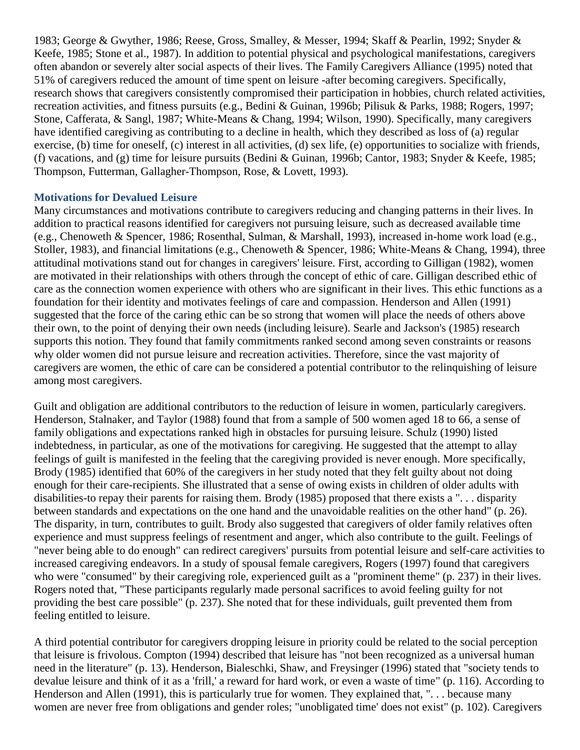1983; George & Gwyther, 1986; Reese, Gross, Smalley, & Messer, 1994; Skaff & Pearlin, 1992; Snyder & Keefe, 1985; Stone et al., 1987). In addition to potential physical and psychological manifestations, caregivers often abandon or severely alter social aspects of their lives. The Family Caregivers Alliance (1995) noted that 51% of caregivers reduced the amount of time spent on leisure -after becoming caregivers. Specifically, research shows that caregivers consistently compromised their participation in hobbies, church related activities, recreation activities, and fitness pursuits (e.g., Bedini & Guinan, 1996b; Pilisuk & Parks, 1988; Rogers, 1997; Stone, Cafferata, & Sangl, 1987; White-Means & Chang, 1994; Wilson, 1990). Specifically, many caregivers have identified caregiving as contributing to a decline in health, which they described as loss of (a) regular exercise, (b) time for oneself, (c) interest in all activities, (d) sex life, (e) opportunities to socialize with friends, (f) vacations, and (g) time for leisure pursuits (Bedini & Guinan, 1996b; Cantor, 1983; Snyder & Keefe, 1985; Thompson, Futterman, Gallagher-Thompson, Rose, & Lovett, 1993).

#### **Motivations for Devalued Leisure**

Many circumstances and motivations contribute to caregivers reducing and changing patterns in their lives. In addition to practical reasons identified for caregivers not pursuing leisure, such as decreased available time (e.g., Chenoweth & Spencer, 1986; Rosenthal, Sulman, & Marshall, 1993), increased in-home work load (e.g., Stoller, 1983), and financial limitations (e.g., Chenoweth & Spencer, 1986; White-Means & Chang, 1994), three attitudinal motivations stand out for changes in caregivers' leisure. First, according to Gilligan (1982), women are motivated in their relationships with others through the concept of ethic of care. Gilligan described ethic of care as the connection women experience with others who are significant in their lives. This ethic functions as a foundation for their identity and motivates feelings of care and compassion. Henderson and Allen (1991) suggested that the force of the caring ethic can be so strong that women will place the needs of others above their own, to the point of denying their own needs (including leisure). Searle and Jackson's (1985) research supports this notion. They found that family commitments ranked second among seven constraints or reasons why older women did not pursue leisure and recreation activities. Therefore, since the vast majority of caregivers are women, the ethic of care can be considered a potential contributor to the relinquishing of leisure among most caregivers.

Guilt and obligation are additional contributors to the reduction of leisure in women, particularly caregivers. Henderson, Stalnaker, and Taylor (1988) found that from a sample of 500 women aged 18 to 66, a sense of family obligations and expectations ranked high in obstacles for pursuing leisure. Schulz (1990) listed indebtedness, in particular, as one of the motivations for caregiving. He suggested that the attempt to allay feelings of guilt is manifested in the feeling that the caregiving provided is never enough. More specifically, Brody (1985) identified that 60% of the caregivers in her study noted that they felt guilty about not doing enough for their care-recipients. She illustrated that a sense of owing exists in children of older adults with disabilities-to repay their parents for raising them. Brody (1985) proposed that there exists a ". . . disparity between standards and expectations on the one hand and the unavoidable realities on the other hand" (p. 26). The disparity, in turn, contributes to guilt. Brody also suggested that caregivers of older family relatives often experience and must suppress feelings of resentment and anger, which also contribute to the guilt. Feelings of "never being able to do enough" can redirect caregivers' pursuits from potential leisure and self-care activities to increased caregiving endeavors. In a study of spousal female caregivers, Rogers (1997) found that caregivers who were "consumed" by their caregiving role, experienced guilt as a "prominent theme" (p. 237) in their lives. Rogers noted that, "These participants regularly made personal sacrifices to avoid feeling guilty for not providing the best care possible" (p. 237). She noted that for these individuals, guilt prevented them from feeling entitled to leisure.

A third potential contributor for caregivers dropping leisure in priority could be related to the social perception that leisure is frivolous. Compton (1994) described that leisure has "not been recognized as a universal human need in the literature" (p. 13). Henderson, Bialeschki, Shaw, and Freysinger (1996) stated that "society tends to devalue leisure and think of it as a 'frill,' a reward for hard work, or even a waste of time" (p. 116). According to Henderson and Allen (1991), this is particularly true for women. They explained that, "... because many women are never free from obligations and gender roles; "unobligated time' does not exist" (p. 102). Caregivers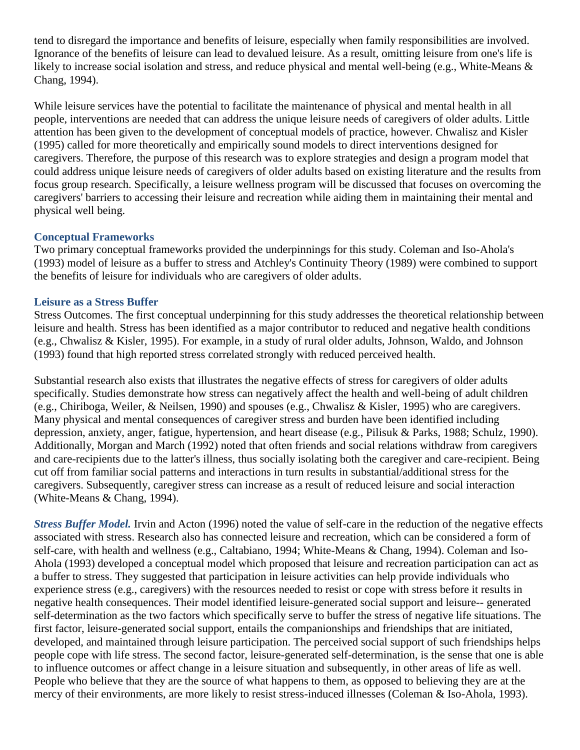tend to disregard the importance and benefits of leisure, especially when family responsibilities are involved. Ignorance of the benefits of leisure can lead to devalued leisure. As a result, omitting leisure from one's life is likely to increase social isolation and stress, and reduce physical and mental well-being (e.g., White-Means & Chang, 1994).

While leisure services have the potential to facilitate the maintenance of physical and mental health in all people, interventions are needed that can address the unique leisure needs of caregivers of older adults. Little attention has been given to the development of conceptual models of practice, however. Chwalisz and Kisler (1995) called for more theoretically and empirically sound models to direct interventions designed for caregivers. Therefore, the purpose of this research was to explore strategies and design a program model that could address unique leisure needs of caregivers of older adults based on existing literature and the results from focus group research. Specifically, a leisure wellness program will be discussed that focuses on overcoming the caregivers' barriers to accessing their leisure and recreation while aiding them in maintaining their mental and physical well being.

## **Conceptual Frameworks**

Two primary conceptual frameworks provided the underpinnings for this study. Coleman and Iso-Ahola's (1993) model of leisure as a buffer to stress and Atchley's Continuity Theory (1989) were combined to support the benefits of leisure for individuals who are caregivers of older adults.

#### **Leisure as a Stress Buffer**

Stress Outcomes. The first conceptual underpinning for this study addresses the theoretical relationship between leisure and health. Stress has been identified as a major contributor to reduced and negative health conditions (e.g., Chwalisz & Kisler, 1995). For example, in a study of rural older adults, Johnson, Waldo, and Johnson (1993) found that high reported stress correlated strongly with reduced perceived health.

Substantial research also exists that illustrates the negative effects of stress for caregivers of older adults specifically. Studies demonstrate how stress can negatively affect the health and well-being of adult children (e.g., Chiriboga, Weiler, & Neilsen, 1990) and spouses (e.g., Chwalisz & Kisler, 1995) who are caregivers. Many physical and mental consequences of caregiver stress and burden have been identified including depression, anxiety, anger, fatigue, hypertension, and heart disease (e.g., Pilisuk & Parks, 1988; Schulz, 1990). Additionally, Morgan and March (1992) noted that often friends and social relations withdraw from caregivers and care-recipients due to the latter's illness, thus socially isolating both the caregiver and care-recipient. Being cut off from familiar social patterns and interactions in turn results in substantial/additional stress for the caregivers. Subsequently, caregiver stress can increase as a result of reduced leisure and social interaction (White-Means & Chang, 1994).

*Stress Buffer Model.* Irvin and Acton (1996) noted the value of self-care in the reduction of the negative effects associated with stress. Research also has connected leisure and recreation, which can be considered a form of self-care, with health and wellness (e.g., Caltabiano, 1994; White-Means & Chang, 1994). Coleman and Iso-Ahola (1993) developed a conceptual model which proposed that leisure and recreation participation can act as a buffer to stress. They suggested that participation in leisure activities can help provide individuals who experience stress (e.g., caregivers) with the resources needed to resist or cope with stress before it results in negative health consequences. Their model identified leisure-generated social support and leisure-- generated self-determination as the two factors which specifically serve to buffer the stress of negative life situations. The first factor, leisure-generated social support, entails the companionships and friendships that are initiated, developed, and maintained through leisure participation. The perceived social support of such friendships helps people cope with life stress. The second factor, leisure-generated self-determination, is the sense that one is able to influence outcomes or affect change in a leisure situation and subsequently, in other areas of life as well. People who believe that they are the source of what happens to them, as opposed to believing they are at the mercy of their environments, are more likely to resist stress-induced illnesses (Coleman & Iso-Ahola, 1993).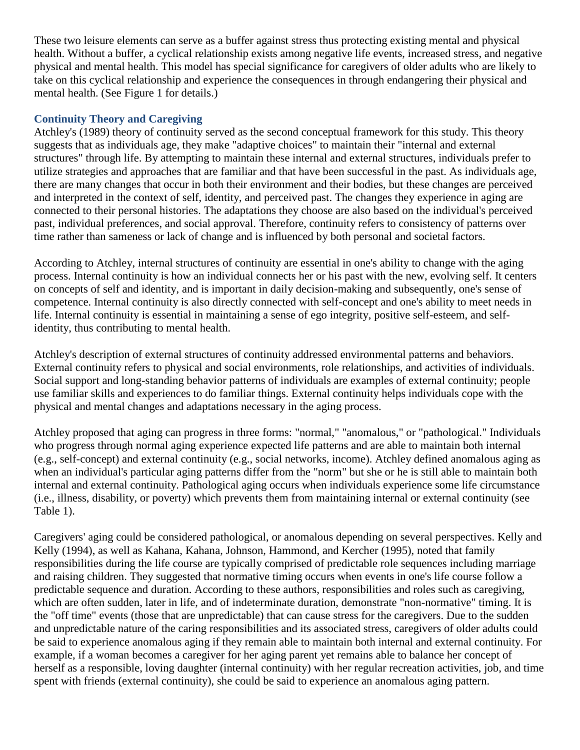These two leisure elements can serve as a buffer against stress thus protecting existing mental and physical health. Without a buffer, a cyclical relationship exists among negative life events, increased stress, and negative physical and mental health. This model has special significance for caregivers of older adults who are likely to take on this cyclical relationship and experience the consequences in through endangering their physical and mental health. (See Figure 1 for details.)

## **Continuity Theory and Caregiving**

Atchley's (1989) theory of continuity served as the second conceptual framework for this study. This theory suggests that as individuals age, they make "adaptive choices" to maintain their "internal and external structures" through life. By attempting to maintain these internal and external structures, individuals prefer to utilize strategies and approaches that are familiar and that have been successful in the past. As individuals age, there are many changes that occur in both their environment and their bodies, but these changes are perceived and interpreted in the context of self, identity, and perceived past. The changes they experience in aging are connected to their personal histories. The adaptations they choose are also based on the individual's perceived past, individual preferences, and social approval. Therefore, continuity refers to consistency of patterns over time rather than sameness or lack of change and is influenced by both personal and societal factors.

According to Atchley, internal structures of continuity are essential in one's ability to change with the aging process. Internal continuity is how an individual connects her or his past with the new, evolving self. It centers on concepts of self and identity, and is important in daily decision-making and subsequently, one's sense of competence. Internal continuity is also directly connected with self-concept and one's ability to meet needs in life. Internal continuity is essential in maintaining a sense of ego integrity, positive self-esteem, and selfidentity, thus contributing to mental health.

Atchley's description of external structures of continuity addressed environmental patterns and behaviors. External continuity refers to physical and social environments, role relationships, and activities of individuals. Social support and long-standing behavior patterns of individuals are examples of external continuity; people use familiar skills and experiences to do familiar things. External continuity helps individuals cope with the physical and mental changes and adaptations necessary in the aging process.

Atchley proposed that aging can progress in three forms: "normal," "anomalous," or "pathological." Individuals who progress through normal aging experience expected life patterns and are able to maintain both internal (e.g., self-concept) and external continuity (e.g., social networks, income). Atchley defined anomalous aging as when an individual's particular aging patterns differ from the "norm" but she or he is still able to maintain both internal and external continuity. Pathological aging occurs when individuals experience some life circumstance (i.e., illness, disability, or poverty) which prevents them from maintaining internal or external continuity (see Table 1).

Caregivers' aging could be considered pathological, or anomalous depending on several perspectives. Kelly and Kelly (1994), as well as Kahana, Kahana, Johnson, Hammond, and Kercher (1995), noted that family responsibilities during the life course are typically comprised of predictable role sequences including marriage and raising children. They suggested that normative timing occurs when events in one's life course follow a predictable sequence and duration. According to these authors, responsibilities and roles such as caregiving, which are often sudden, later in life, and of indeterminate duration, demonstrate "non-normative" timing. It is the "off time" events (those that are unpredictable) that can cause stress for the caregivers. Due to the sudden and unpredictable nature of the caring responsibilities and its associated stress, caregivers of older adults could be said to experience anomalous aging if they remain able to maintain both internal and external continuity. For example, if a woman becomes a caregiver for her aging parent yet remains able to balance her concept of herself as a responsible, loving daughter (internal continuity) with her regular recreation activities, job, and time spent with friends (external continuity), she could be said to experience an anomalous aging pattern.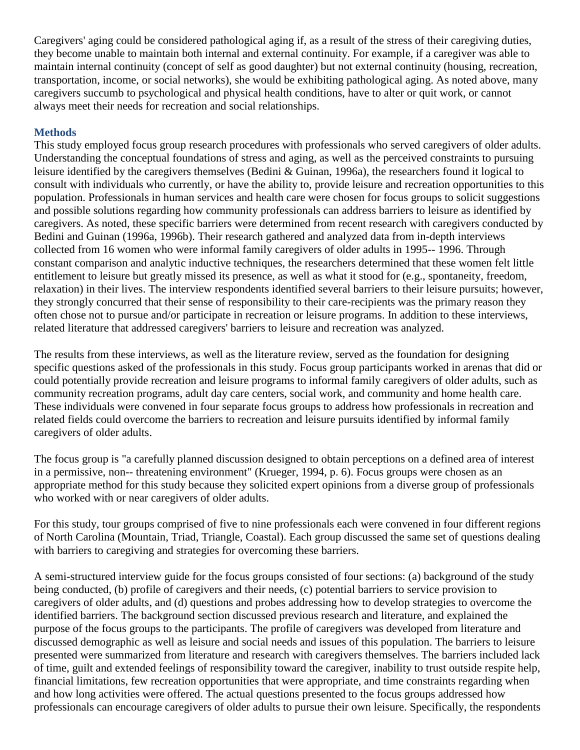Caregivers' aging could be considered pathological aging if, as a result of the stress of their caregiving duties, they become unable to maintain both internal and external continuity. For example, if a caregiver was able to maintain internal continuity (concept of self as good daughter) but not external continuity (housing, recreation, transportation, income, or social networks), she would be exhibiting pathological aging. As noted above, many caregivers succumb to psychological and physical health conditions, have to alter or quit work, or cannot always meet their needs for recreation and social relationships.

## **Methods**

This study employed focus group research procedures with professionals who served caregivers of older adults. Understanding the conceptual foundations of stress and aging, as well as the perceived constraints to pursuing leisure identified by the caregivers themselves (Bedini & Guinan, 1996a), the researchers found it logical to consult with individuals who currently, or have the ability to, provide leisure and recreation opportunities to this population. Professionals in human services and health care were chosen for focus groups to solicit suggestions and possible solutions regarding how community professionals can address barriers to leisure as identified by caregivers. As noted, these specific barriers were determined from recent research with caregivers conducted by Bedini and Guinan (1996a, 1996b). Their research gathered and analyzed data from in-depth interviews collected from 16 women who were informal family caregivers of older adults in 1995-- 1996. Through constant comparison and analytic inductive techniques, the researchers determined that these women felt little entitlement to leisure but greatly missed its presence, as well as what it stood for (e.g., spontaneity, freedom, relaxation) in their lives. The interview respondents identified several barriers to their leisure pursuits; however, they strongly concurred that their sense of responsibility to their care-recipients was the primary reason they often chose not to pursue and/or participate in recreation or leisure programs. In addition to these interviews, related literature that addressed caregivers' barriers to leisure and recreation was analyzed.

The results from these interviews, as well as the literature review, served as the foundation for designing specific questions asked of the professionals in this study. Focus group participants worked in arenas that did or could potentially provide recreation and leisure programs to informal family caregivers of older adults, such as community recreation programs, adult day care centers, social work, and community and home health care. These individuals were convened in four separate focus groups to address how professionals in recreation and related fields could overcome the barriers to recreation and leisure pursuits identified by informal family caregivers of older adults.

The focus group is "a carefully planned discussion designed to obtain perceptions on a defined area of interest in a permissive, non-- threatening environment" (Krueger, 1994, p. 6). Focus groups were chosen as an appropriate method for this study because they solicited expert opinions from a diverse group of professionals who worked with or near caregivers of older adults.

For this study, tour groups comprised of five to nine professionals each were convened in four different regions of North Carolina (Mountain, Triad, Triangle, Coastal). Each group discussed the same set of questions dealing with barriers to caregiving and strategies for overcoming these barriers.

A semi-structured interview guide for the focus groups consisted of four sections: (a) background of the study being conducted, (b) profile of caregivers and their needs, (c) potential barriers to service provision to caregivers of older adults, and (d) questions and probes addressing how to develop strategies to overcome the identified barriers. The background section discussed previous research and literature, and explained the purpose of the focus groups to the participants. The profile of caregivers was developed from literature and discussed demographic as well as leisure and social needs and issues of this population. The barriers to leisure presented were summarized from literature and research with caregivers themselves. The barriers included lack of time, guilt and extended feelings of responsibility toward the caregiver, inability to trust outside respite help, financial limitations, few recreation opportunities that were appropriate, and time constraints regarding when and how long activities were offered. The actual questions presented to the focus groups addressed how professionals can encourage caregivers of older adults to pursue their own leisure. Specifically, the respondents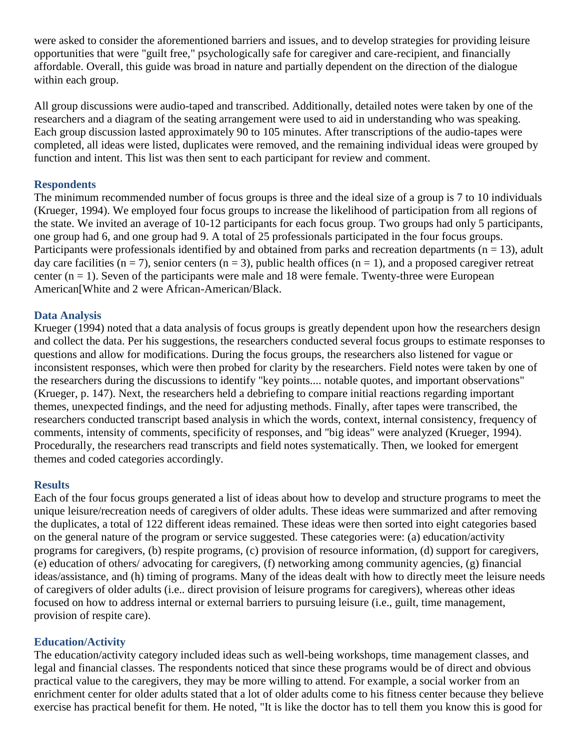were asked to consider the aforementioned barriers and issues, and to develop strategies for providing leisure opportunities that were "guilt free," psychologically safe for caregiver and care-recipient, and financially affordable. Overall, this guide was broad in nature and partially dependent on the direction of the dialogue within each group.

All group discussions were audio-taped and transcribed. Additionally, detailed notes were taken by one of the researchers and a diagram of the seating arrangement were used to aid in understanding who was speaking. Each group discussion lasted approximately 90 to 105 minutes. After transcriptions of the audio-tapes were completed, all ideas were listed, duplicates were removed, and the remaining individual ideas were grouped by function and intent. This list was then sent to each participant for review and comment.

### **Respondents**

The minimum recommended number of focus groups is three and the ideal size of a group is 7 to 10 individuals (Krueger, 1994). We employed four focus groups to increase the likelihood of participation from all regions of the state. We invited an average of 10-12 participants for each focus group. Two groups had only 5 participants, one group had 6, and one group had 9. A total of 25 professionals participated in the four focus groups. Participants were professionals identified by and obtained from parks and recreation departments ( $n = 13$ ), adult day care facilities ( $n = 7$ ), senior centers ( $n = 3$ ), public health offices ( $n = 1$ ), and a proposed caregiver retreat center  $(n = 1)$ . Seven of the participants were male and 18 were female. Twenty-three were European American[White and 2 were African-American/Black.

## **Data Analysis**

Krueger (1994) noted that a data analysis of focus groups is greatly dependent upon how the researchers design and collect the data. Per his suggestions, the researchers conducted several focus groups to estimate responses to questions and allow for modifications. During the focus groups, the researchers also listened for vague or inconsistent responses, which were then probed for clarity by the researchers. Field notes were taken by one of the researchers during the discussions to identify "key points.... notable quotes, and important observations" (Krueger, p. 147). Next, the researchers held a debriefing to compare initial reactions regarding important themes, unexpected findings, and the need for adjusting methods. Finally, after tapes were transcribed, the researchers conducted transcript based analysis in which the words, context, internal consistency, frequency of comments, intensity of comments, specificity of responses, and "big ideas" were analyzed (Krueger, 1994). Procedurally, the researchers read transcripts and field notes systematically. Then, we looked for emergent themes and coded categories accordingly.

#### **Results**

Each of the four focus groups generated a list of ideas about how to develop and structure programs to meet the unique leisure/recreation needs of caregivers of older adults. These ideas were summarized and after removing the duplicates, a total of 122 different ideas remained. These ideas were then sorted into eight categories based on the general nature of the program or service suggested. These categories were: (a) education/activity programs for caregivers, (b) respite programs, (c) provision of resource information, (d) support for caregivers, (e) education of others/ advocating for caregivers, (f) networking among community agencies, (g) financial ideas/assistance, and (h) timing of programs. Many of the ideas dealt with how to directly meet the leisure needs of caregivers of older adults (i.e.. direct provision of leisure programs for caregivers), whereas other ideas focused on how to address internal or external barriers to pursuing leisure (i.e., guilt, time management, provision of respite care).

#### **Education/Activity**

The education/activity category included ideas such as well-being workshops, time management classes, and legal and financial classes. The respondents noticed that since these programs would be of direct and obvious practical value to the caregivers, they may be more willing to attend. For example, a social worker from an enrichment center for older adults stated that a lot of older adults come to his fitness center because they believe exercise has practical benefit for them. He noted, "It is like the doctor has to tell them you know this is good for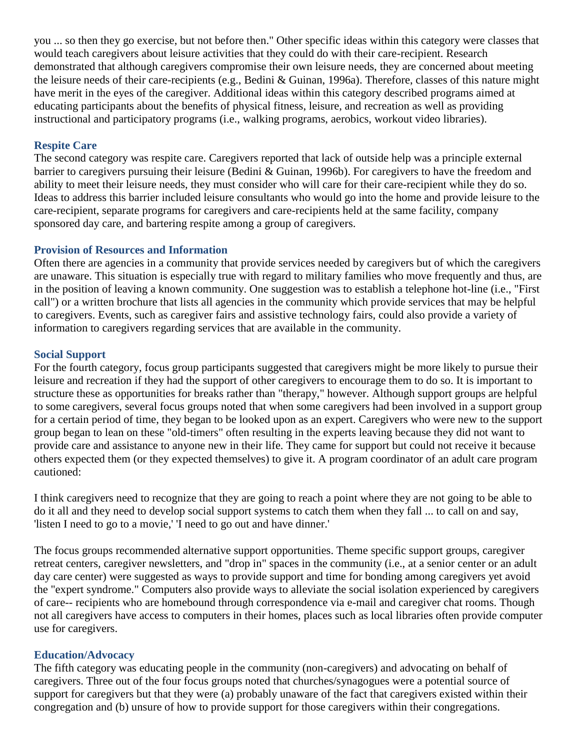you ... so then they go exercise, but not before then." Other specific ideas within this category were classes that would teach caregivers about leisure activities that they could do with their care-recipient. Research demonstrated that although caregivers compromise their own leisure needs, they are concerned about meeting the leisure needs of their care-recipients (e.g., Bedini & Guinan, 1996a). Therefore, classes of this nature might have merit in the eyes of the caregiver. Additional ideas within this category described programs aimed at educating participants about the benefits of physical fitness, leisure, and recreation as well as providing instructional and participatory programs (i.e., walking programs, aerobics, workout video libraries).

## **Respite Care**

The second category was respite care. Caregivers reported that lack of outside help was a principle external barrier to caregivers pursuing their leisure (Bedini & Guinan, 1996b). For caregivers to have the freedom and ability to meet their leisure needs, they must consider who will care for their care-recipient while they do so. Ideas to address this barrier included leisure consultants who would go into the home and provide leisure to the care-recipient, separate programs for caregivers and care-recipients held at the same facility, company sponsored day care, and bartering respite among a group of caregivers.

#### **Provision of Resources and Information**

Often there are agencies in a community that provide services needed by caregivers but of which the caregivers are unaware. This situation is especially true with regard to military families who move frequently and thus, are in the position of leaving a known community. One suggestion was to establish a telephone hot-line (i.e., "First call") or a written brochure that lists all agencies in the community which provide services that may be helpful to caregivers. Events, such as caregiver fairs and assistive technology fairs, could also provide a variety of information to caregivers regarding services that are available in the community.

#### **Social Support**

For the fourth category, focus group participants suggested that caregivers might be more likely to pursue their leisure and recreation if they had the support of other caregivers to encourage them to do so. It is important to structure these as opportunities for breaks rather than "therapy," however. Although support groups are helpful to some caregivers, several focus groups noted that when some caregivers had been involved in a support group for a certain period of time, they began to be looked upon as an expert. Caregivers who were new to the support group began to lean on these "old-timers" often resulting in the experts leaving because they did not want to provide care and assistance to anyone new in their life. They came for support but could not receive it because others expected them (or they expected themselves) to give it. A program coordinator of an adult care program cautioned:

I think caregivers need to recognize that they are going to reach a point where they are not going to be able to do it all and they need to develop social support systems to catch them when they fall ... to call on and say, 'listen I need to go to a movie,' 'I need to go out and have dinner.'

The focus groups recommended alternative support opportunities. Theme specific support groups, caregiver retreat centers, caregiver newsletters, and "drop in" spaces in the community (i.e., at a senior center or an adult day care center) were suggested as ways to provide support and time for bonding among caregivers yet avoid the "expert syndrome." Computers also provide ways to alleviate the social isolation experienced by caregivers of care-- recipients who are homebound through correspondence via e-mail and caregiver chat rooms. Though not all caregivers have access to computers in their homes, places such as local libraries often provide computer use for caregivers.

#### **Education/Advocacy**

The fifth category was educating people in the community (non-caregivers) and advocating on behalf of caregivers. Three out of the four focus groups noted that churches/synagogues were a potential source of support for caregivers but that they were (a) probably unaware of the fact that caregivers existed within their congregation and (b) unsure of how to provide support for those caregivers within their congregations.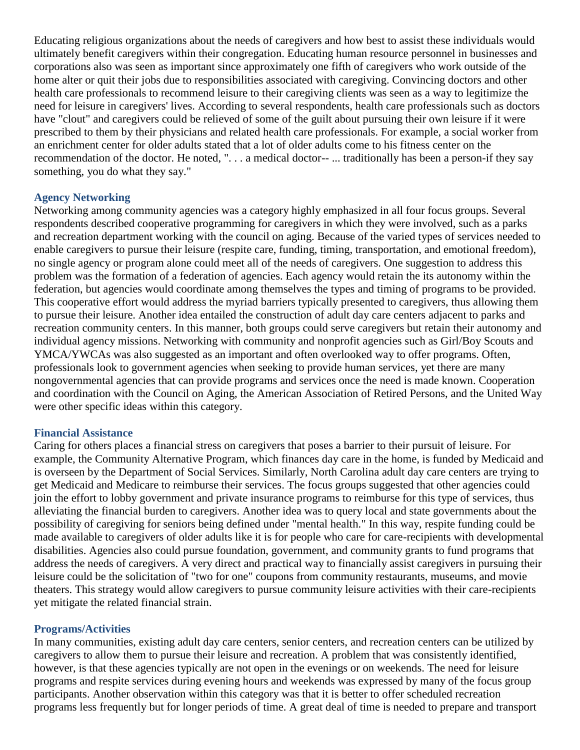Educating religious organizations about the needs of caregivers and how best to assist these individuals would ultimately benefit caregivers within their congregation. Educating human resource personnel in businesses and corporations also was seen as important since approximately one fifth of caregivers who work outside of the home alter or quit their jobs due to responsibilities associated with caregiving. Convincing doctors and other health care professionals to recommend leisure to their caregiving clients was seen as a way to legitimize the need for leisure in caregivers' lives. According to several respondents, health care professionals such as doctors have "clout" and caregivers could be relieved of some of the guilt about pursuing their own leisure if it were prescribed to them by their physicians and related health care professionals. For example, a social worker from an enrichment center for older adults stated that a lot of older adults come to his fitness center on the recommendation of the doctor. He noted, ". . . a medical doctor-- ... traditionally has been a person-if they say something, you do what they say."

#### **Agency Networking**

Networking among community agencies was a category highly emphasized in all four focus groups. Several respondents described cooperative programming for caregivers in which they were involved, such as a parks and recreation department working with the council on aging. Because of the varied types of services needed to enable caregivers to pursue their leisure (respite care, funding, timing, transportation, and emotional freedom), no single agency or program alone could meet all of the needs of caregivers. One suggestion to address this problem was the formation of a federation of agencies. Each agency would retain the its autonomy within the federation, but agencies would coordinate among themselves the types and timing of programs to be provided. This cooperative effort would address the myriad barriers typically presented to caregivers, thus allowing them to pursue their leisure. Another idea entailed the construction of adult day care centers adjacent to parks and recreation community centers. In this manner, both groups could serve caregivers but retain their autonomy and individual agency missions. Networking with community and nonprofit agencies such as Girl/Boy Scouts and YMCA/YWCAs was also suggested as an important and often overlooked way to offer programs. Often, professionals look to government agencies when seeking to provide human services, yet there are many nongovernmental agencies that can provide programs and services once the need is made known. Cooperation and coordination with the Council on Aging, the American Association of Retired Persons, and the United Way were other specific ideas within this category.

#### **Financial Assistance**

Caring for others places a financial stress on caregivers that poses a barrier to their pursuit of leisure. For example, the Community Alternative Program, which finances day care in the home, is funded by Medicaid and is overseen by the Department of Social Services. Similarly, North Carolina adult day care centers are trying to get Medicaid and Medicare to reimburse their services. The focus groups suggested that other agencies could join the effort to lobby government and private insurance programs to reimburse for this type of services, thus alleviating the financial burden to caregivers. Another idea was to query local and state governments about the possibility of caregiving for seniors being defined under "mental health." In this way, respite funding could be made available to caregivers of older adults like it is for people who care for care-recipients with developmental disabilities. Agencies also could pursue foundation, government, and community grants to fund programs that address the needs of caregivers. A very direct and practical way to financially assist caregivers in pursuing their leisure could be the solicitation of "two for one" coupons from community restaurants, museums, and movie theaters. This strategy would allow caregivers to pursue community leisure activities with their care-recipients yet mitigate the related financial strain.

## **Programs/Activities**

In many communities, existing adult day care centers, senior centers, and recreation centers can be utilized by caregivers to allow them to pursue their leisure and recreation. A problem that was consistently identified, however, is that these agencies typically are not open in the evenings or on weekends. The need for leisure programs and respite services during evening hours and weekends was expressed by many of the focus group participants. Another observation within this category was that it is better to offer scheduled recreation programs less frequently but for longer periods of time. A great deal of time is needed to prepare and transport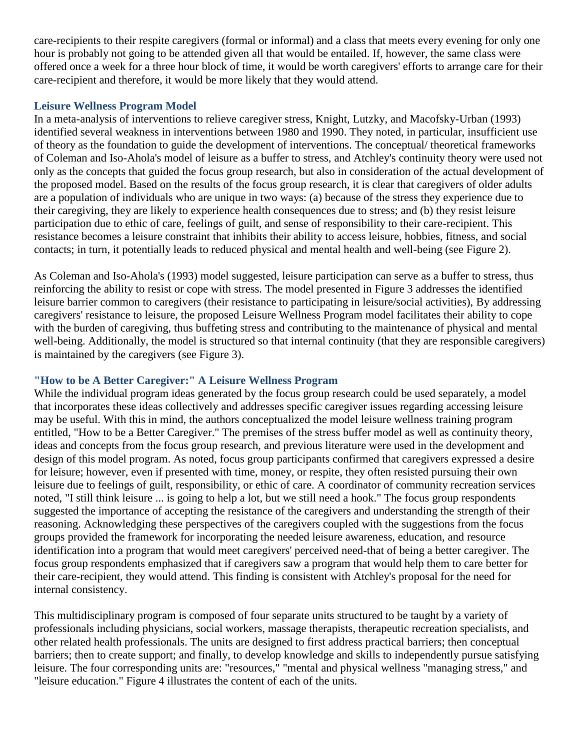care-recipients to their respite caregivers (formal or informal) and a class that meets every evening for only one hour is probably not going to be attended given all that would be entailed. If, however, the same class were offered once a week for a three hour block of time, it would be worth caregivers' efforts to arrange care for their care-recipient and therefore, it would be more likely that they would attend.

### **Leisure Wellness Program Model**

In a meta-analysis of interventions to relieve caregiver stress, Knight, Lutzky, and Macofsky-Urban (1993) identified several weakness in interventions between 1980 and 1990. They noted, in particular, insufficient use of theory as the foundation to guide the development of interventions. The conceptual/ theoretical frameworks of Coleman and Iso-Ahola's model of leisure as a buffer to stress, and Atchley's continuity theory were used not only as the concepts that guided the focus group research, but also in consideration of the actual development of the proposed model. Based on the results of the focus group research, it is clear that caregivers of older adults are a population of individuals who are unique in two ways: (a) because of the stress they experience due to their caregiving, they are likely to experience health consequences due to stress; and (b) they resist leisure participation due to ethic of care, feelings of guilt, and sense of responsibility to their care-recipient. This resistance becomes a leisure constraint that inhibits their ability to access leisure, hobbies, fitness, and social contacts; in turn, it potentially leads to reduced physical and mental health and well-being (see Figure 2).

As Coleman and Iso-Ahola's (1993) model suggested, leisure participation can serve as a buffer to stress, thus reinforcing the ability to resist or cope with stress. The model presented in Figure 3 addresses the identified leisure barrier common to caregivers (their resistance to participating in leisure/social activities), By addressing caregivers' resistance to leisure, the proposed Leisure Wellness Program model facilitates their ability to cope with the burden of caregiving, thus buffeting stress and contributing to the maintenance of physical and mental well-being. Additionally, the model is structured so that internal continuity (that they are responsible caregivers) is maintained by the caregivers (see Figure 3).

## **"How to be A Better Caregiver:" A Leisure Wellness Program**

While the individual program ideas generated by the focus group research could be used separately, a model that incorporates these ideas collectively and addresses specific caregiver issues regarding accessing leisure may be useful. With this in mind, the authors conceptualized the model leisure wellness training program entitled, "How to be a Better Caregiver." The premises of the stress buffer model as well as continuity theory, ideas and concepts from the focus group research, and previous literature were used in the development and design of this model program. As noted, focus group participants confirmed that caregivers expressed a desire for leisure; however, even if presented with time, money, or respite, they often resisted pursuing their own leisure due to feelings of guilt, responsibility, or ethic of care. A coordinator of community recreation services noted, "I still think leisure ... is going to help a lot, but we still need a hook." The focus group respondents suggested the importance of accepting the resistance of the caregivers and understanding the strength of their reasoning. Acknowledging these perspectives of the caregivers coupled with the suggestions from the focus groups provided the framework for incorporating the needed leisure awareness, education, and resource identification into a program that would meet caregivers' perceived need-that of being a better caregiver. The focus group respondents emphasized that if caregivers saw a program that would help them to care better for their care-recipient, they would attend. This finding is consistent with Atchley's proposal for the need for internal consistency.

This multidisciplinary program is composed of four separate units structured to be taught by a variety of professionals including physicians, social workers, massage therapists, therapeutic recreation specialists, and other related health professionals. The units are designed to first address practical barriers; then conceptual barriers; then to create support; and finally, to develop knowledge and skills to independently pursue satisfying leisure. The four corresponding units are: "resources," "mental and physical wellness "managing stress," and "leisure education." Figure 4 illustrates the content of each of the units.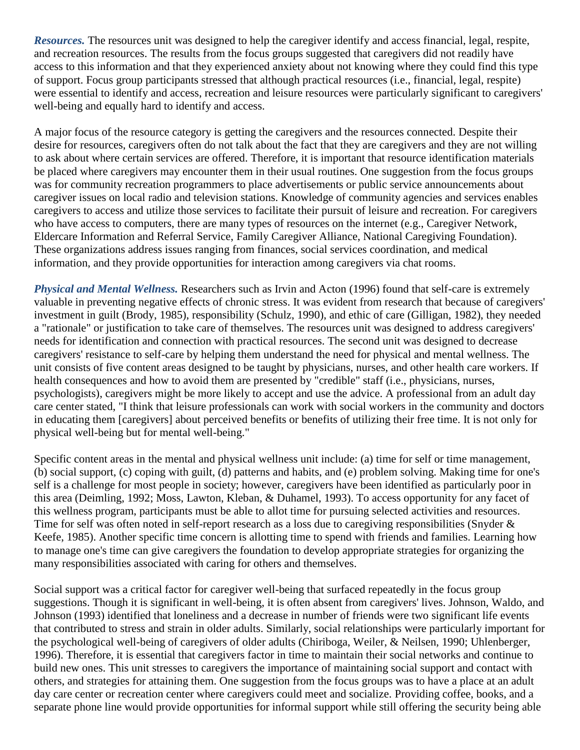*Resources.* The resources unit was designed to help the caregiver identify and access financial, legal, respite, and recreation resources. The results from the focus groups suggested that caregivers did not readily have access to this information and that they experienced anxiety about not knowing where they could find this type of support. Focus group participants stressed that although practical resources (i.e., financial, legal, respite) were essential to identify and access, recreation and leisure resources were particularly significant to caregivers' well-being and equally hard to identify and access.

A major focus of the resource category is getting the caregivers and the resources connected. Despite their desire for resources, caregivers often do not talk about the fact that they are caregivers and they are not willing to ask about where certain services are offered. Therefore, it is important that resource identification materials be placed where caregivers may encounter them in their usual routines. One suggestion from the focus groups was for community recreation programmers to place advertisements or public service announcements about caregiver issues on local radio and television stations. Knowledge of community agencies and services enables caregivers to access and utilize those services to facilitate their pursuit of leisure and recreation. For caregivers who have access to computers, there are many types of resources on the internet (e.g., Caregiver Network, Eldercare Information and Referral Service, Family Caregiver Alliance, National Caregiving Foundation). These organizations address issues ranging from finances, social services coordination, and medical information, and they provide opportunities for interaction among caregivers via chat rooms.

*Physical and Mental Wellness.* Researchers such as Irvin and Acton (1996) found that self-care is extremely valuable in preventing negative effects of chronic stress. It was evident from research that because of caregivers' investment in guilt (Brody, 1985), responsibility (Schulz, 1990), and ethic of care (Gilligan, 1982), they needed a "rationale" or justification to take care of themselves. The resources unit was designed to address caregivers' needs for identification and connection with practical resources. The second unit was designed to decrease caregivers' resistance to self-care by helping them understand the need for physical and mental wellness. The unit consists of five content areas designed to be taught by physicians, nurses, and other health care workers. If health consequences and how to avoid them are presented by "credible" staff (i.e., physicians, nurses, psychologists), caregivers might be more likely to accept and use the advice. A professional from an adult day care center stated, "I think that leisure professionals can work with social workers in the community and doctors in educating them [caregivers] about perceived benefits or benefits of utilizing their free time. It is not only for physical well-being but for mental well-being."

Specific content areas in the mental and physical wellness unit include: (a) time for self or time management, (b) social support, (c) coping with guilt, (d) patterns and habits, and (e) problem solving. Making time for one's self is a challenge for most people in society; however, caregivers have been identified as particularly poor in this area (Deimling, 1992; Moss, Lawton, Kleban, & Duhamel, 1993). To access opportunity for any facet of this wellness program, participants must be able to allot time for pursuing selected activities and resources. Time for self was often noted in self-report research as a loss due to caregiving responsibilities (Snyder & Keefe, 1985). Another specific time concern is allotting time to spend with friends and families. Learning how to manage one's time can give caregivers the foundation to develop appropriate strategies for organizing the many responsibilities associated with caring for others and themselves.

Social support was a critical factor for caregiver well-being that surfaced repeatedly in the focus group suggestions. Though it is significant in well-being, it is often absent from caregivers' lives. Johnson, Waldo, and Johnson (1993) identified that loneliness and a decrease in number of friends were two significant life events that contributed to stress and strain in older adults. Similarly, social relationships were particularly important for the psychological well-being of caregivers of older adults (Chiriboga, Weiler, & Neilsen, 1990; Uhlenberger, 1996). Therefore, it is essential that caregivers factor in time to maintain their social networks and continue to build new ones. This unit stresses to caregivers the importance of maintaining social support and contact with others, and strategies for attaining them. One suggestion from the focus groups was to have a place at an adult day care center or recreation center where caregivers could meet and socialize. Providing coffee, books, and a separate phone line would provide opportunities for informal support while still offering the security being able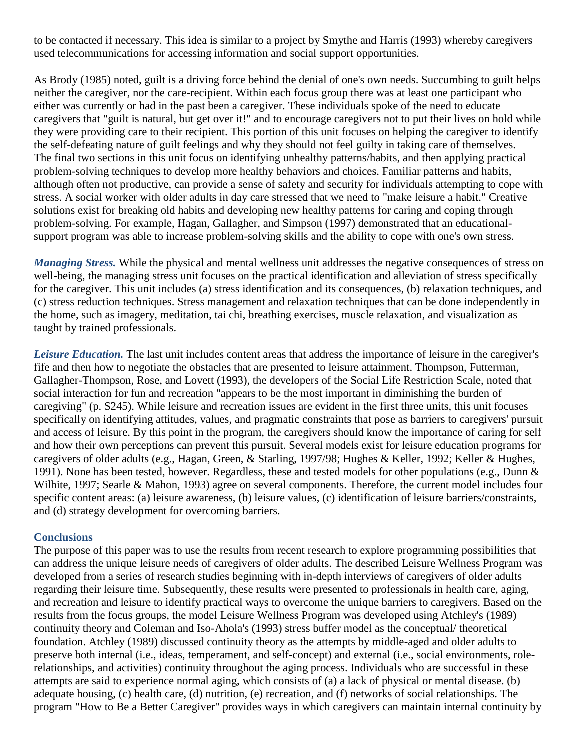to be contacted if necessary. This idea is similar to a project by Smythe and Harris (1993) whereby caregivers used telecommunications for accessing information and social support opportunities.

As Brody (1985) noted, guilt is a driving force behind the denial of one's own needs. Succumbing to guilt helps neither the caregiver, nor the care-recipient. Within each focus group there was at least one participant who either was currently or had in the past been a caregiver. These individuals spoke of the need to educate caregivers that "guilt is natural, but get over it!" and to encourage caregivers not to put their lives on hold while they were providing care to their recipient. This portion of this unit focuses on helping the caregiver to identify the self-defeating nature of guilt feelings and why they should not feel guilty in taking care of themselves. The final two sections in this unit focus on identifying unhealthy patterns/habits, and then applying practical problem-solving techniques to develop more healthy behaviors and choices. Familiar patterns and habits, although often not productive, can provide a sense of safety and security for individuals attempting to cope with stress. A social worker with older adults in day care stressed that we need to "make leisure a habit." Creative solutions exist for breaking old habits and developing new healthy patterns for caring and coping through problem-solving. For example, Hagan, Gallagher, and Simpson (1997) demonstrated that an educationalsupport program was able to increase problem-solving skills and the ability to cope with one's own stress.

*Managing Stress.* While the physical and mental wellness unit addresses the negative consequences of stress on well-being, the managing stress unit focuses on the practical identification and alleviation of stress specifically for the caregiver. This unit includes (a) stress identification and its consequences, (b) relaxation techniques, and (c) stress reduction techniques. Stress management and relaxation techniques that can be done independently in the home, such as imagery, meditation, tai chi, breathing exercises, muscle relaxation, and visualization as taught by trained professionals.

*Leisure Education.* The last unit includes content areas that address the importance of leisure in the caregiver's fife and then how to negotiate the obstacles that are presented to leisure attainment. Thompson, Futterman, Gallagher-Thompson, Rose, and Lovett (1993), the developers of the Social Life Restriction Scale, noted that social interaction for fun and recreation "appears to be the most important in diminishing the burden of caregiving" (p. S245). While leisure and recreation issues are evident in the first three units, this unit focuses specifically on identifying attitudes, values, and pragmatic constraints that pose as barriers to caregivers' pursuit and access of leisure. By this point in the program, the caregivers should know the importance of caring for self and how their own perceptions can prevent this pursuit. Several models exist for leisure education programs for caregivers of older adults (e.g., Hagan, Green, & Starling, 1997/98; Hughes & Keller, 1992; Keller & Hughes, 1991). None has been tested, however. Regardless, these and tested models for other populations (e.g., Dunn & Wilhite, 1997; Searle & Mahon, 1993) agree on several components. Therefore, the current model includes four specific content areas: (a) leisure awareness, (b) leisure values, (c) identification of leisure barriers/constraints, and (d) strategy development for overcoming barriers.

#### **Conclusions**

The purpose of this paper was to use the results from recent research to explore programming possibilities that can address the unique leisure needs of caregivers of older adults. The described Leisure Wellness Program was developed from a series of research studies beginning with in-depth interviews of caregivers of older adults regarding their leisure time. Subsequently, these results were presented to professionals in health care, aging, and recreation and leisure to identify practical ways to overcome the unique barriers to caregivers. Based on the results from the focus groups, the model Leisure Wellness Program was developed using Atchley's (1989) continuity theory and Coleman and Iso-Ahola's (1993) stress buffer model as the conceptual/ theoretical foundation. Atchley (1989) discussed continuity theory as the attempts by middle-aged and older adults to preserve both internal (i.e., ideas, temperament, and self-concept) and external (i.e., social environments, rolerelationships, and activities) continuity throughout the aging process. Individuals who are successful in these attempts are said to experience normal aging, which consists of (a) a lack of physical or mental disease. (b) adequate housing, (c) health care, (d) nutrition, (e) recreation, and (f) networks of social relationships. The program "How to Be a Better Caregiver" provides ways in which caregivers can maintain internal continuity by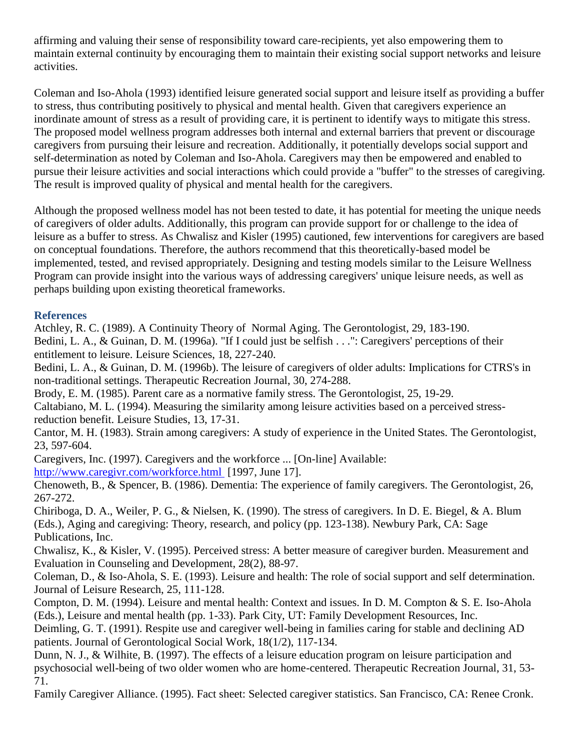affirming and valuing their sense of responsibility toward care-recipients, yet also empowering them to maintain external continuity by encouraging them to maintain their existing social support networks and leisure activities.

Coleman and Iso-Ahola (1993) identified leisure generated social support and leisure itself as providing a buffer to stress, thus contributing positively to physical and mental health. Given that caregivers experience an inordinate amount of stress as a result of providing care, it is pertinent to identify ways to mitigate this stress. The proposed model wellness program addresses both internal and external barriers that prevent or discourage caregivers from pursuing their leisure and recreation. Additionally, it potentially develops social support and self-determination as noted by Coleman and Iso-Ahola. Caregivers may then be empowered and enabled to pursue their leisure activities and social interactions which could provide a "buffer" to the stresses of caregiving. The result is improved quality of physical and mental health for the caregivers.

Although the proposed wellness model has not been tested to date, it has potential for meeting the unique needs of caregivers of older adults. Additionally, this program can provide support for or challenge to the idea of leisure as a buffer to stress. As Chwalisz and Kisler (1995) cautioned, few interventions for caregivers are based on conceptual foundations. Therefore, the authors recommend that this theoretically-based model be implemented, tested, and revised appropriately. Designing and testing models similar to the Leisure Wellness Program can provide insight into the various ways of addressing caregivers' unique leisure needs, as well as perhaps building upon existing theoretical frameworks.

# **References**

Atchley, R. C. (1989). A Continuity Theory of Normal Aging. The Gerontologist, 29, 183-190. Bedini, L. A., & Guinan, D. M. (1996a). "If I could just be selfish . . .": Caregivers' perceptions of their entitlement to leisure. Leisure Sciences, 18, 227-240.

Bedini, L. A., & Guinan, D. M. (1996b). The leisure of caregivers of older adults: Implications for CTRS's in non-traditional settings. Therapeutic Recreation Journal, 30, 274-288.

Brody, E. M. (1985). Parent care as a normative family stress. The Gerontologist, 25, 19-29.

Caltabiano, M. L. (1994). Measuring the similarity among leisure activities based on a perceived stressreduction benefit. Leisure Studies, 13, 17-31.

Cantor, M. H. (1983). Strain among caregivers: A study of experience in the United States. The Gerontologist, 23, 597-604.

Caregivers, Inc. (1997). Caregivers and the workforce ... [On-line] Available:

<http://www.caregivr.com/workforce.html> [1997, June 17].

Chenoweth, B., & Spencer, B. (1986). Dementia: The experience of family caregivers. The Gerontologist, 26, 267-272.

Chiriboga, D. A., Weiler, P. G., & Nielsen, K. (1990). The stress of caregivers. In D. E. Biegel, & A. Blum (Eds.), Aging and caregiving: Theory, research, and policy (pp. 123-138). Newbury Park, CA: Sage Publications, Inc.

Chwalisz, K., & Kisler, V. (1995). Perceived stress: A better measure of caregiver burden. Measurement and Evaluation in Counseling and Development, 28(2), 88-97.

Coleman, D., & Iso-Ahola, S. E. (1993). Leisure and health: The role of social support and self determination. Journal of Leisure Research, 25, 111-128.

Compton, D. M. (1994). Leisure and mental health: Context and issues. In D. M. Compton & S. E. Iso-Ahola (Eds.), Leisure and mental health (pp. 1-33). Park City, UT: Family Development Resources, Inc.

Deimling, G. T. (1991). Respite use and caregiver well-being in families caring for stable and declining AD patients. Journal of Gerontological Social Work, 18(1/2), 117-134.

Dunn, N. J., & Wilhite, B. (1997). The effects of a leisure education program on leisure participation and psychosocial well-being of two older women who are home-centered. Therapeutic Recreation Journal, 31, 53- 71.

Family Caregiver Alliance. (1995). Fact sheet: Selected caregiver statistics. San Francisco, CA: Renee Cronk.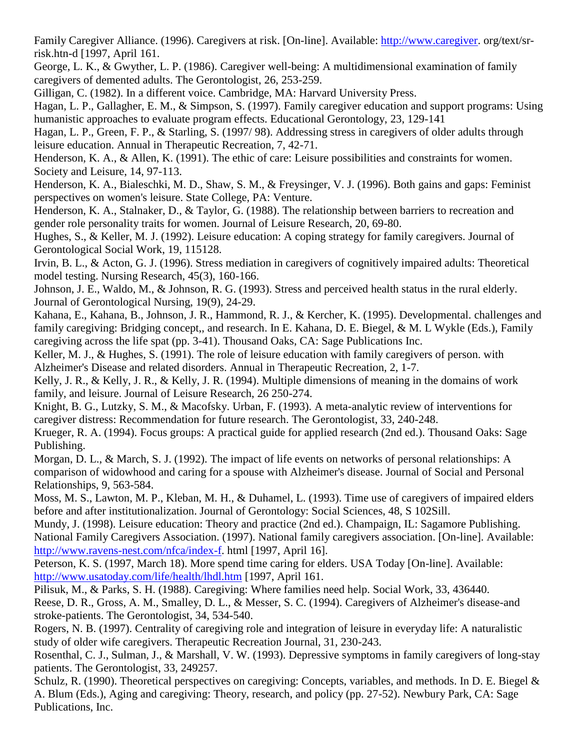Family Caregiver Alliance. (1996). Caregivers at risk. [On-line]. Available: [http://www.caregiver.](http://www.caregiver/) org/text/srrisk.htn-d [1997, April 161.

George, L. K., & Gwyther, L. P. (1986). Caregiver well-being: A multidimensional examination of family caregivers of demented adults. The Gerontologist, 26, 253-259.

Gilligan, C. (1982). In a different voice. Cambridge, MA: Harvard University Press.

Hagan, L. P., Gallagher, E. M., & Simpson, S. (1997). Family caregiver education and support programs: Using humanistic approaches to evaluate program effects. Educational Gerontology, 23, 129-141

Hagan, L. P., Green, F. P., & Starling, S. (1997/ 98). Addressing stress in caregivers of older adults through leisure education. Annual in Therapeutic Recreation, 7, 42-71.

Henderson, K. A., & Allen, K. (1991). The ethic of care: Leisure possibilities and constraints for women. Society and Leisure, 14, 97-113.

Henderson, K. A., Bialeschki, M. D., Shaw, S. M., & Freysinger, V. J. (1996). Both gains and gaps: Feminist perspectives on women's leisure. State College, PA: Venture.

Henderson, K. A., Stalnaker, D., & Taylor, G. (1988). The relationship between barriers to recreation and gender role personality traits for women. Journal of Leisure Research, 20, 69-80.

Hughes, S., & Keller, M. J. (1992). Leisure education: A coping strategy for family caregivers. Journal of Gerontological Social Work, 19, 115128.

Irvin, B. L., & Acton, G. J. (1996). Stress mediation in caregivers of cognitively impaired adults: Theoretical model testing. Nursing Research, 45(3), 160-166.

Johnson, J. E., Waldo, M., & Johnson, R. G. (1993). Stress and perceived health status in the rural elderly. Journal of Gerontological Nursing, 19(9), 24-29.

Kahana, E., Kahana, B., Johnson, J. R., Hammond, R. J., & Kercher, K. (1995). Developmental. challenges and family caregiving: Bridging concept,, and research. In E. Kahana, D. E. Biegel, & M. L Wykle (Eds.), Family caregiving across the life spat (pp. 3-41). Thousand Oaks, CA: Sage Publications Inc.

Keller, M. J., & Hughes, S. (1991). The role of leisure education with family caregivers of person. with Alzheimer's Disease and related disorders. Annual in Therapeutic Recreation, 2, 1-7.

Kelly, J. R., & Kelly, J. R., & Kelly, J. R. (1994). Multiple dimensions of meaning in the domains of work family, and leisure. Journal of Leisure Research, 26 250-274.

Knight, B. G., Lutzky, S. M., & Macofsky. Urban, F. (1993). A meta-analytic review of interventions for caregiver distress: Recommendation for future research. The Gerontologist, 33, 240-248.

Krueger, R. A. (1994). Focus groups: A practical guide for applied research (2nd ed.). Thousand Oaks: Sage Publishing.

Morgan, D. L., & March, S. J. (1992). The impact of life events on networks of personal relationships: A comparison of widowhood and caring for a spouse with Alzheimer's disease. Journal of Social and Personal Relationships, 9, 563-584.

Moss, M. S., Lawton, M. P., Kleban, M. H., & Duhamel, L. (1993). Time use of caregivers of impaired elders before and after institutionalization. Journal of Gerontology: Social Sciences, 48, S 102Sill.

Mundy, J. (1998). Leisure education: Theory and practice (2nd ed.). Champaign, IL: Sagamore Publishing. National Family Caregivers Association. (1997). National family caregivers association. [On-line]. Available: [http://www.ravens-nest.com/nfca/index-f.](http://www.ravens-nest.com/nfca/index-f) html [1997, April 16].

Peterson, K. S. (1997, March 18). More spend time caring for elders. USA Today [On-line]. Available: <http://www.usatoday.com/life/health/lhdl.htm> [1997, April 161.

Pilisuk, M., & Parks, S. H. (1988). Caregiving: Where families need help. Social Work, 33, 436440. Reese, D. R., Gross, A. M., Smalley, D. L., & Messer, S. C. (1994). Caregivers of Alzheimer's disease-and stroke-patients. The Gerontologist, 34, 534-540.

Rogers, N. B. (1997). Centrality of caregiving role and integration of leisure in everyday life: A naturalistic study of older wife caregivers. Therapeutic Recreation Journal, 31, 230-243.

Rosenthal, C. J., Sulman, J., & Marshall, V. W. (1993). Depressive symptoms in family caregivers of long-stay patients. The Gerontologist, 33, 249257.

Schulz, R. (1990). Theoretical perspectives on caregiving: Concepts, variables, and methods. In D. E. Biegel & A. Blum (Eds.), Aging and caregiving: Theory, research, and policy (pp. 27-52). Newbury Park, CA: Sage Publications, Inc.